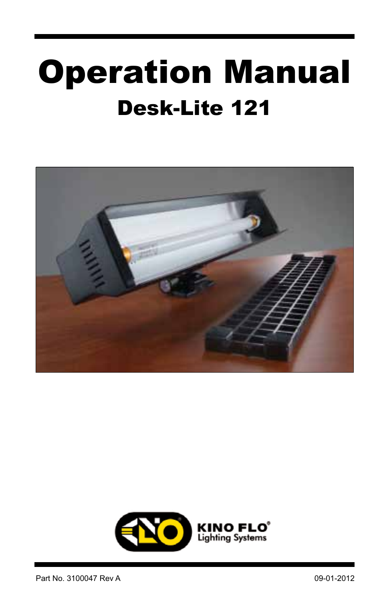# Desk-Lite 121 Operation Manual



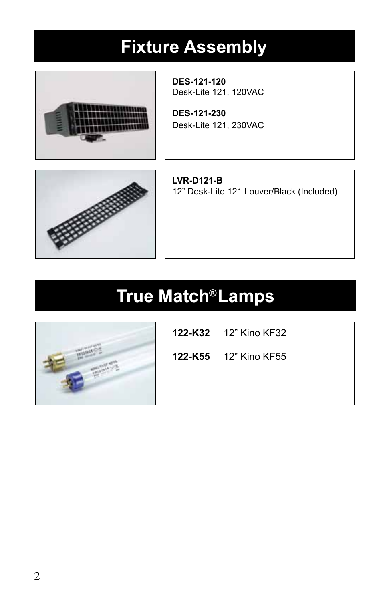# **Fixture Assembly**



**DES-121-120** Desk-Lite 121, 120VAC

**DES-121-230**  Desk-Lite 121, 230VAC



**LVR-D121-B**  12" Desk-Lite 121 Louver/Black (Included)

# **True Match Lamps ®**



**122-K32** 12" Kino KF32

**122-K55** 12" Kino KF55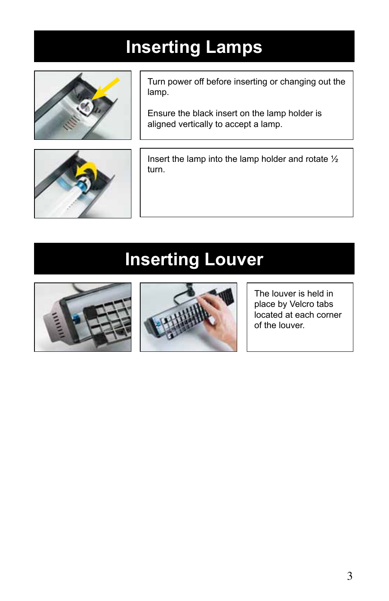# **Inserting Lamps**



Turn power off before inserting or changing out the lamp.

Ensure the black insert on the lamp holder is aligned vertically to accept a lamp.



Insert the lamp into the lamp holder and rotate ½ turn.

# **Inserting Louver**





The louver is held in place by Velcro tabs located at each corner of the louver.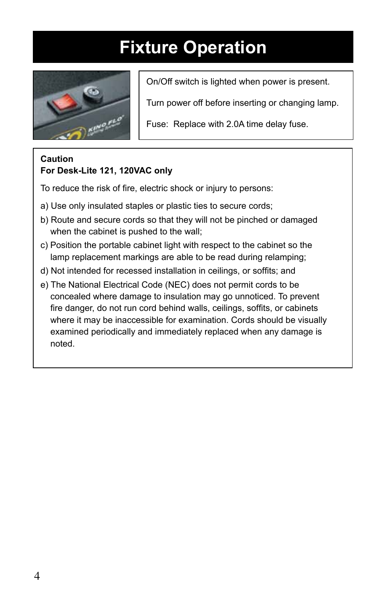# **Fixture Operation**



On/Off switch is lighted when power is present.

Turn power off before inserting or changing lamp.

Fuse: Replace with 2.0A time delay fuse.

#### **Caution For Desk-Lite 121, 120VAC only**

To reduce the risk of fire, electric shock or injury to persons:

- a) Use only insulated staples or plastic ties to secure cords;
- b) Route and secure cords so that they will not be pinched or damaged when the cabinet is pushed to the wall;
- c) Position the portable cabinet light with respect to the cabinet so the lamp replacement markings are able to be read during relamping;
- d) Not intended for recessed installation in ceilings, or soffits; and
- e) The National Electrical Code (NEC) does not permit cords to be concealed where damage to insulation may go unnoticed. To prevent fire danger, do not run cord behind walls, ceilings, soffits, or cabinets where it may be inaccessible for examination. Cords should be visually examined periodically and immediately replaced when any damage is noted.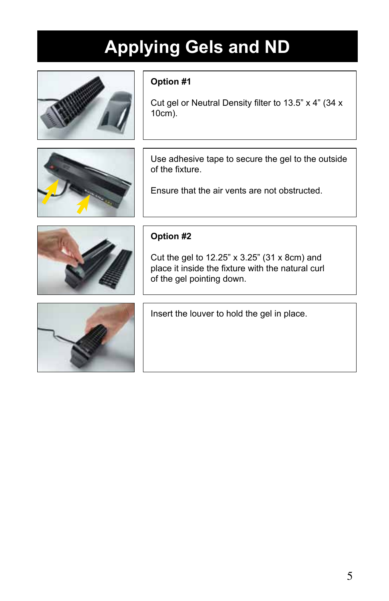# **Applying Gels and ND**



#### **Option #1**

Cut gel or Neutral Density filter to 13.5" x 4" (34 x 10cm).



Use adhesive tape to secure the gel to the outside of the fixture.

Ensure that the air vents are not obstructed.



#### **Option #2**

Cut the gel to 12.25" x 3.25" (31 x 8cm) and place it inside the fixture with the natural curl of the gel pointing down.



Insert the louver to hold the gel in place.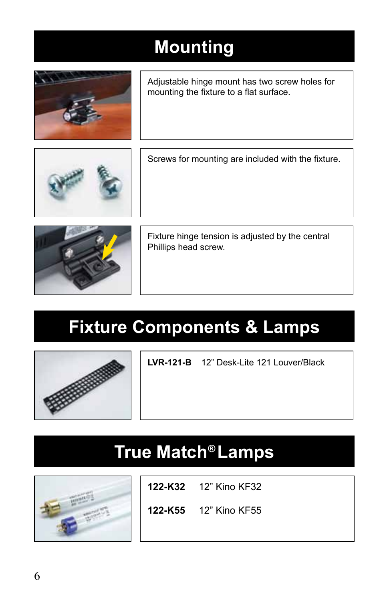# **Mounting**



Adjustable hinge mount has two screw holes for mounting the fixture to a flat surface.



Screws for mounting are included with the fixture.



Fixture hinge tension is adjusted by the central Phillips head screw.

# **Fixture Components & Lamps**



**LVR-121-B** 12" Desk-Lite 121 Louver/Black

### **True Match Lamps ®**



**122-K32** 12" Kino KF32

**122-K55** 12" Kino KF55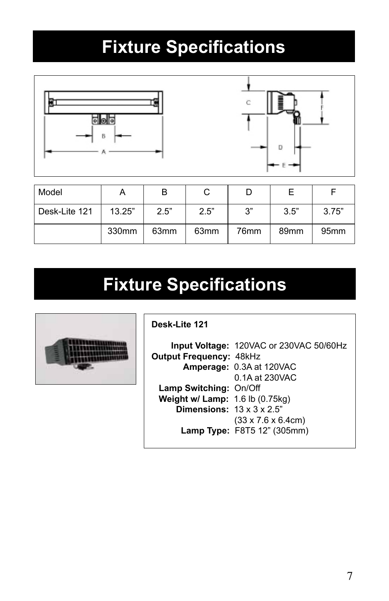# **Fixture Specifications**



| Model         |        | B                |                  |      |                  |                  |
|---------------|--------|------------------|------------------|------|------------------|------------------|
| Desk-Lite 121 | 13.25" | 2.5"             | 2.5"             | 3"   | 3.5"             | 3.75"            |
|               | 330mm  | 63 <sub>mm</sub> | 63 <sub>mm</sub> | 76mm | 89 <sub>mm</sub> | 95 <sub>mm</sub> |

### **Fixture Specifications**



**Desk-Lite 121**

 **Input Voltage:** 120VAC or 230VAC 50/60Hz **Output Frequency:** 48kHz  **Amperage:** 0.3A at 120VAC 0.1A at 230VAC  **Lamp Switching:** On/Off  **Weight w/ Lamp:** 1.6 lb (0.75kg) **Dimensions:**  $13 \times 3 \times 2.5$ " (33 x 7.6 x 6.4cm)  **Lamp Type:** F8T5 12" (305mm)